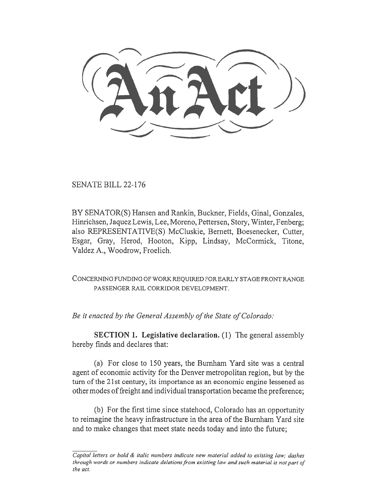SENATE BILL 22-176

BY SENATOR(S) Hansen and Rankin, Buckner, Fields, Ginal, Gonzales, Hinrichsen, Jaquez Lewis, Lee, Moreno, Pettersen, Story, Winter, Fenberg; also REPRESENTATIVE(S) McCluskie, Bernett, Boesenecker, Cutter, Esgar, Gray, Herod, Hooton, Kipp, Lindsay, McCormick, Titone, Valdez A., Woodrow, Froelich.

CONCERNING FUNDING OF WORK REQUIRED FOR EARLY STAGE FRONT RANGE PASSENGER RAIL CORRIDOR DEVELOPMENT.

Be it enacted by the General Assembly of the State of Colorado:

SECTION 1. Legislative declaration. (1) The general assembly hereby finds and declares that:

(a) For close to 150 years, the Burnham Yard site was a central agent of economic activity for the Denver metropolitan region, but by the turn of the 21st century, its importance as an economic engine lessened as other modes of freight and individual transportation became the preference;

(b) For the first time since statehood, Colorado has an opportunity to reimagine the heavy infrastructure in the area of the Burnham Yard site and to make changes that meet state needs today and into the future;

Capital letters or bold & italic numbers indicate new material added to existing law; dashes through words or numbers indicate deletions from existing law and such material is not part of the act.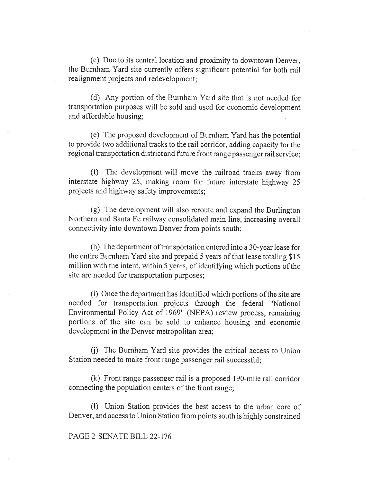(c) Due to its central location and proximity to downtown Denver, the Burnham Yard site currently offers significant potential for both rail realignment projects and redevelopment;

(d) Any portion of the Burnham Yard site that is not needed for transportation purposes will be sold and used for economic development and affordable housing;

(e) The proposed development of Burnham Yard has the potential to provide two additional tracks to the rail corridor, adding capacity for the regional transportation district and future front range passenger rail service;

(f) The development will move the railroad tracks away from interstate highway 25, making room for future interstate highway 25 projects and highway safety improvements;

(g) The development will also reroute and expand the Burlington Northern and Santa Fe railway consolidated main line, increasing overall connectivity into downtown Denver from points south;

(h) The department of transportation entered into a 30-year lease for the entire Burnham Yard site and prepaid 5 years of that lease totaling \$15 million with the intent, within 5 years, of identifying which portions of the site are needed for transportation purposes;

(i) Once the department has identified which portions of the site are needed for transportation projects through the federal "National Environmental Policy Act of 1969" (NEPA) review process, remaining portions of the site can be sold to enhance housing and economic development in the Denver metropolitan area;

(j) The Burnham Yard site provides the critical access to Union Station needed to make front range passenger rail successful;

(k) Front range passenger rail is a proposed 190-mile rail corridor connecting the population centers of the front range;

(1) Union Station provides the best access to the urban core of Denver, and access to Union Station from points south is highly constrained

## PAGE 2-SENATE BILL 22-176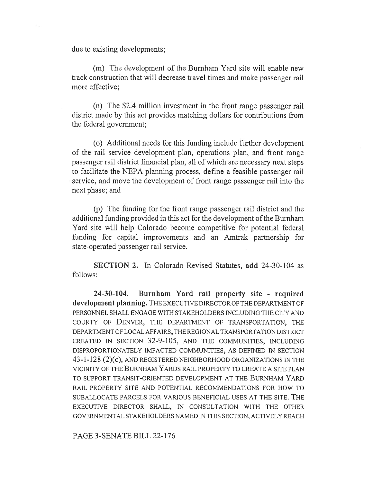due to existing developments;

(m) The development of the Burnham Yard site will enable new track construction that will decrease travel times and make passenger rail more effective;

(n) The \$2.4 million investment in the front range passenger rail district made by this act provides matching dollars for contributions from the federal government;

(o) Additional needs for this funding include further development of the rail service development plan, operations plan, and front range passenger rail district financial plan, all of which are necessary next steps to facilitate the NEPA planning process, define a feasible passenger rail service, and move the development of front range passenger rail into the next phase; and

(p) The funding for the front range passenger rail district and the additional funding provided in this act for the development of the Burnham Yard site will help Colorado become competitive for potential federal funding for capital improvements and an Amtrak partnership for state-operated passenger rail service.

SECTION 2. In Colorado Revised Statutes, add 24-30-104 as follows:

24-30-104. Burnham Yard rail property site - required development planning. THE EXECUTIVE DIRECTOR OF THE DEPARTMENT OF PERSONNEL SHALL ENGAGE WITH STAKEHOLDERS INCLUDING THE CITY AND COUNTY OF DENVER, THE DEPARTMENT OF TRANSPORTATION, THE DEPARTMENT OF LOCAL AFFAIRS, THE REGIONAL TRANSPORTATION DISTRICT CREATED IN SECTION 32-9-105, AND THE COMMUNITIES, INCLUDING DISPROPORTIONATELY IMPACTED COMMUNITIES, AS DEFINED IN SECTION 43-1-128 (2)(c), AND REGISTERED NEIGHBORHOOD ORGANIZATIONS IN THE VICINITY OF THE BURNHAM YARDS RAIL PROPERTY TO CREATE A SITE PLAN TO SUPPORT TRANSIT-ORIENTED DEVELOPMENT AT THE BURNHAM YARD RAIL PROPERTY SITE AND POTENTIAL RECOMMENDATIONS FOR HOW TO SUBALLOCATE PARCELS FOR VARIOUS BENEFICIAL USES AT THE SITE. THE EXECUTIVE DIRECTOR SHALL, IN CONSULTATION WITH THE OTHER GOVERNMENTAL STAKEHOLDERS NAMED IN THIS SECTION, ACTIVELY REACH

PAGE 3-SENATE BILL 22-176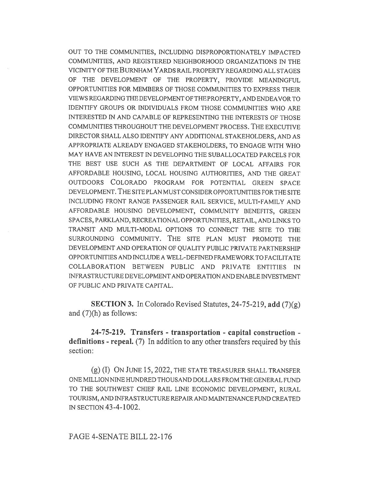OUT TO THE COMMUNITIES, INCLUDING DISPROPORTIONATELY IMPACTED COMMUNITIES, AND REGISTERED NEIGHBORHOOD ORGANIZATIONS IN THE VICINITY OF THE BURNHAM YARDS RAIL PROPERTY REGARDING ALL STAGES OF THE DEVELOPMENT OF THE PROPERTY, PROVIDE MEANINGFUL OPPORTUNITIES FOR MEMBERS OF THOSE COMMUNITIES TO EXPRESS THEIR VIEWS REGARDING THE DEVELOPMENT OF THE PROPERTY, AND ENDEAVOR TO IDENTIFY GROUPS OR INDIVIDUALS FROM THOSE COMMUNITIES WHO ARE INTERESTED IN AND CAPABLE OF REPRESENTING THE INTERESTS OF THOSE COMMUNITIES THROUGHOUT THE DEVELOPMENT PROCESS. THE EXECUTIVE DIRECTOR SHALL ALSO IDENTIFY ANY ADDITIONAL STAKEHOLDERS, AND AS APPROPRIATE ALREADY ENGAGED STAKEHOLDERS, TO ENGAGE WITH WHO MAY HAVE AN INTEREST IN DEVELOPING THE SUBALLOCATED PARCELS FOR THE BEST USE SUCH AS THE DEPARTMENT OF LOCAL AFFAIRS FOR AFFORDABLE HOUSING, LOCAL HOUSING AUTHORITIES, AND THE GREAT OUTDOORS COLORADO PROGRAM FOR POTENTIAL GREEN SPACE DEVELOPMENT. THE SITE PLAN MUST CONSIDER OPPORTUNITIES FOR THE SITE INCLUDING FRONT RANGE PASSENGER RAIL SERVICE, MULTI-FAMILY AND AFFORDABLE HOUSING DEVELOPMENT, COMMUNITY BENEFITS, GREEN SPACES, PARKLAND, RECREATIONAL OPPORTUNITIES, RETAIL, AND LINKS TO TRANSIT AND MULTI-MODAL OPTIONS TO CONNECT THE SITE TO THE SURROUNDING COMMUNITY. THE SITE PLAN MUST PROMOTE THE DEVELOPMENT AND OPERATION OF QUALITY PUBLIC PRIVATE PARTNERSHIP OPPORTUNITIES AND INCLUDE A WELL-DEFINED FRAMEWORK TO FACILITATE COLLABORATION BETWEEN PUBLIC AND PRIVATE ENTITIES IN INFRASTRUCTURE DEVELOPMENT AND OPERATION AND ENABLE INVESTMENT OF PUBLIC AND PRIVATE CAPITAL.

SECTION 3. In Colorado Revised Statutes, 24-75-219, add (7)(g) and  $(7)(h)$  as follows:

24-75-219. Transfers - transportation - capital construction definitions - repeal. (7) In addition to any other transfers required by this section:

(g) (I) ON JUNE 15, 2022, THE STATE TREASURER SHALL TRANSFER ONE MILLION NINE HUNDRED THOUSAND DOLLARS FROM THE GENERAL FUND TO THE SOUTHWEST CHIEF RAIL LINE ECONOMIC DEVELOPMENT, RURAL TOURISM, AND INFRASTRUCTURE REPAIR AND MAINTENANCE FUND CREATED IN SECTION 43-4-1002.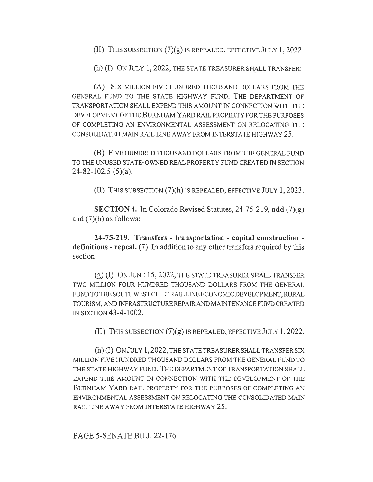(II) THIS SUBSECTION (7)(g) IS REPEALED, EFFECTIVE JULY 1, 2022.

(h) (I) ON JULY 1, 2022, THE STATE TREASURER SHALL TRANSFER:

(A) SIX MILLION FIVE HUNDRED THOUSAND DOLLARS FROM THE GENERAL FUND TO THE STATE HIGHWAY FUND. THE DEPARTMENT OF TRANSPORTATION SHALL EXPEND THIS AMOUNT IN CONNECTION WITH THE DEVELOPMENT OF THE BURNHAM YARD RAIL PROPERTY FOR THE PURPOSES OF COMPLETING AN ENVIRONMENTAL ASSESSMENT ON RELOCATING THE CONSOLIDATED MAIN RAIL LINE AWAY FROM INTERSTATE HIGHWAY 25.

(B) FIVE HUNDRED THOUSAND DOLLARS FROM THE GENERAL FUND TO THE UNUSED STATE-OWNED REAL PROPERTY FUND CREATED IN SECTION 24-82-102.5 (5)(a).

(II) THIS SUBSECTION (7)(h) IS REPEALED, EFFECTIVE JULY 1, 2023.

SECTION 4. In Colorado Revised Statutes, 24-75-219, add (7)(g) and (7)(h) as follows:

24-75-219. Transfers - transportation - capital construction definitions - repeal. (7) In addition to any other transfers required by this section:

(g) (I) ON JUNE 15, 2022, THE STATE TREASURER SHALL TRANSFER TWO MILLION FOUR HUNDRED THOUSAND DOLLARS FROM THE GENERAL FUND TO THE SOUTHWEST CHIEF RAIL LINE ECONOMIC DEVELOPMENT, RURAL TOURISM, AND INFRASTRUCTURE REPAIR AND MAINTENANCE FUND CREATED IN SECTION 43-4-1002.

(II) THIS SUBSECTION (7)(g) IS REPEALED, EFFECTIVE JULY 1, 2022.

(h) (I) ON JULY 1, 2022, THE STATE TREASURER SHALL TRANSFER SIX MILLION FIVE HUNDRED THOUSAND DOLLARS FROM THE GENERAL FUND TO THE STATE HIGHWAY FUND. THE DEPARTMENT OF TRANSPORTATION SHALL EXPEND THIS AMOUNT IN CONNECTION WITH THE DEVELOPMENT OF THE BURNHAM YARD RAIL PROPERTY FOR THE PURPOSES OF COMPLETING AN ENVIRONMENTAL ASSESSMENT ON RELOCATING THE CONSOLIDATED MAIN RAIL LINE AWAY FROM INTERSTATE HIGHWAY 25.

## PAGE 5-SENATE BILL 22-176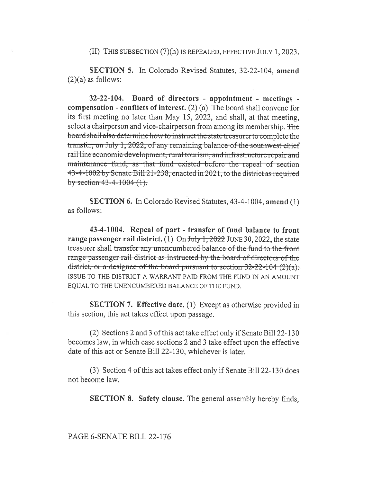(II) THIS SUBSECTION (7)(h) IS REPEALED, EFFECTIVE JULY 1, 2023.

SECTION 5. In Colorado Revised Statutes, 32-22-104, amend  $(2)(a)$  as follows:

 $32-22-104$ . Board of directors - appointment - meetings compensation - conflicts of interest.  $(2)$  (a) The board shall convene for its first meeting no later than May 15, 2022, and shall, at that meeting, select a chairperson and vice-chairperson from among its membership. The board shall also determine how to instruct the state treasurer to complete the transfer, on July 1, 2022, of any remaining balance of the southwest chief rail line economic development, rural tourism, and infrastructure repair and maintenance fund, as that fund existed before the repeal of section 43-4-1002 by Senate Bill 21-238, enacted in 2021, to the district as required by section  $43-4-1004$   $(1)$ .

**SECTION 6.** In Colorado Revised Statutes, 43-4-1004, amend (1) as follows:

43-4-1004. Repeal of part - transfer of fund balance to front range passenger rail district. (1) On  $\frac{\text{July }1, 2022}{\text{JUNE }30, 2022}$ , the state treasurer shall transfer any unencumbered balance of the fund to the front range passenger rail district as instructed by the board of directors of the district, or a designee of the board pursuant to section  $32-22-104$  (2)(a). ISSUE TO THE DISTRICT A WARRANT PAID FROM THE FUND IN AN AMOUNT EOUAL TO THE UNENCUMBERED BALANCE OF THE FUND.

**SECTION 7. Effective date.** (1) Except as otherwise provided in this section, this act takes effect upon passage.

(2) Sections 2 and 3 of this act take effect only if Senate Bill 22-130 becomes law, in which case sections 2 and 3 take effect upon the effective date of this act or Senate Bill 22-130, whichever is later.

(3) Section 4 of this act takes effect only if Senate Bill 22-130 does not become law.

**SECTION 8. Safety clause.** The general assembly hereby finds,

## PAGE 6-SENATE BILL 22-176